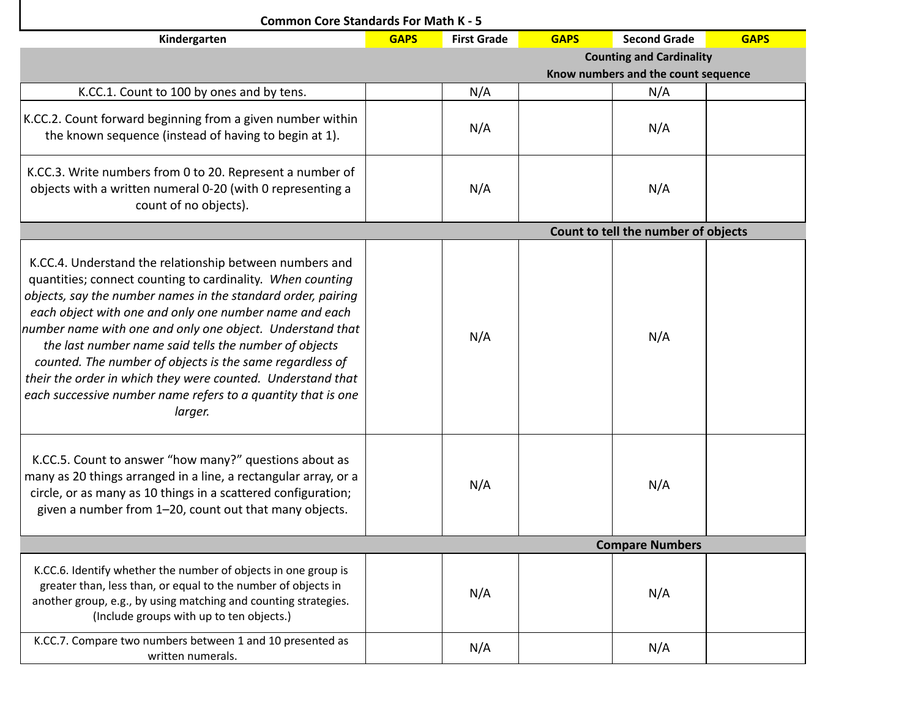| <b>Common Core Standards For Math K - 5</b>                                                                                                                                                                                                                                                                                                                                                                                                                                                                                                                                 |             |                                     |                                     |                        |             |  |  |  |  |
|-----------------------------------------------------------------------------------------------------------------------------------------------------------------------------------------------------------------------------------------------------------------------------------------------------------------------------------------------------------------------------------------------------------------------------------------------------------------------------------------------------------------------------------------------------------------------------|-------------|-------------------------------------|-------------------------------------|------------------------|-------------|--|--|--|--|
| Kindergarten                                                                                                                                                                                                                                                                                                                                                                                                                                                                                                                                                                | <b>GAPS</b> | <b>First Grade</b>                  | <b>GAPS</b>                         | <b>Second Grade</b>    | <b>GAPS</b> |  |  |  |  |
|                                                                                                                                                                                                                                                                                                                                                                                                                                                                                                                                                                             |             | <b>Counting and Cardinality</b>     |                                     |                        |             |  |  |  |  |
|                                                                                                                                                                                                                                                                                                                                                                                                                                                                                                                                                                             |             | Know numbers and the count sequence |                                     |                        |             |  |  |  |  |
| K.CC.1. Count to 100 by ones and by tens.                                                                                                                                                                                                                                                                                                                                                                                                                                                                                                                                   |             | N/A                                 |                                     | N/A                    |             |  |  |  |  |
| K.CC.2. Count forward beginning from a given number within<br>the known sequence (instead of having to begin at 1).                                                                                                                                                                                                                                                                                                                                                                                                                                                         |             | N/A                                 |                                     | N/A                    |             |  |  |  |  |
| K.CC.3. Write numbers from 0 to 20. Represent a number of<br>objects with a written numeral 0-20 (with 0 representing a<br>count of no objects).                                                                                                                                                                                                                                                                                                                                                                                                                            |             | N/A                                 |                                     | N/A                    |             |  |  |  |  |
|                                                                                                                                                                                                                                                                                                                                                                                                                                                                                                                                                                             |             |                                     | Count to tell the number of objects |                        |             |  |  |  |  |
| K.CC.4. Understand the relationship between numbers and<br>quantities; connect counting to cardinality. When counting<br>objects, say the number names in the standard order, pairing<br>each object with one and only one number name and each<br>number name with one and only one object. Understand that<br>the last number name said tells the number of objects<br>counted. The number of objects is the same regardless of<br>their the order in which they were counted. Understand that<br>each successive number name refers to a quantity that is one<br>larger. |             | N/A                                 |                                     | N/A                    |             |  |  |  |  |
| K.CC.5. Count to answer "how many?" questions about as<br>many as 20 things arranged in a line, a rectangular array, or a<br>circle, or as many as 10 things in a scattered configuration;<br>given a number from 1-20, count out that many objects.                                                                                                                                                                                                                                                                                                                        |             | N/A                                 |                                     | N/A                    |             |  |  |  |  |
|                                                                                                                                                                                                                                                                                                                                                                                                                                                                                                                                                                             |             |                                     |                                     | <b>Compare Numbers</b> |             |  |  |  |  |
| K.CC.6. Identify whether the number of objects in one group is<br>greater than, less than, or equal to the number of objects in<br>another group, e.g., by using matching and counting strategies.<br>(Include groups with up to ten objects.)                                                                                                                                                                                                                                                                                                                              |             | N/A                                 |                                     | N/A                    |             |  |  |  |  |
| K.CC.7. Compare two numbers between 1 and 10 presented as<br>written numerals.                                                                                                                                                                                                                                                                                                                                                                                                                                                                                              |             | N/A                                 |                                     | N/A                    |             |  |  |  |  |